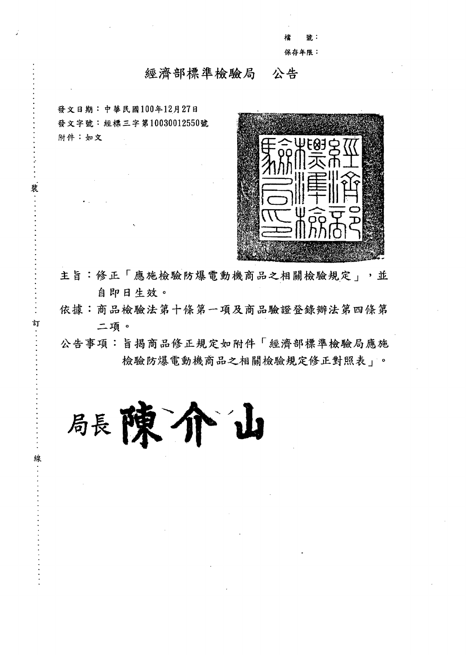號: 保存年限:

## 經濟部標準檢驗局 公告

發文日期:中華民國100年12月27日 發文字號:經標三字第10030012550號 附件:如文

裝

訂

線



主旨:修正「應施檢驗防爆電動機商品之相關檢驗規定」,並 自即日生效。

依據:商品檢驗法第十條第一項及商品驗證登錄辦法第四條第 二項。

公告事項:旨揭商品修正規定如附件「經濟部標準檢驗局應施 檢驗防爆電動機商品之相關檢驗規定修正對照表」。